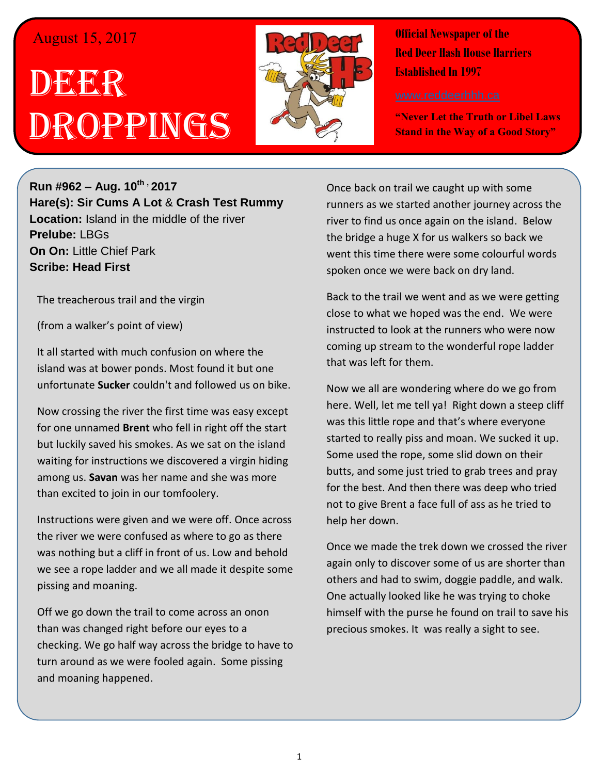## August 15, 2017

## DEGER Droppings



**Official Newspaper of the Red Deer Hash House Harriers Established In 1997** 

**"Never Let the Truth or Libel Laws Stand in the Way of a Good Story"**

**Run #962 – Aug. 10th , 2017 Hare(s): Sir Cums A Lot** & **Crash Test Rummy Location:** Island in the middle of the river **Prelube:** LBGs **On On:** Little Chief Park **Scribe: Head First**

The treacherous trail and the virgin

(from a walker's point of view)

It all started with much confusion on where the island was at bower ponds. Most found it but one unfortunate **Sucker** couldn't and followed us on bike.

Now crossing the river the first time was easy except for one unnamed **Brent** who fell in right off the start but luckily saved his smokes. As we sat on the island waiting for instructions we discovered a virgin hiding among us. **Savan** was her name and she was more than excited to join in our tomfoolery.

Instructions were given and we were off. Once across the river we were confused as where to go as there was nothing but a cliff in front of us. Low and behold we see a rope ladder and we all made it despite some pissing and moaning.

Off we go down the trail to come across an onon than was changed right before our eyes to a checking. We go half way across the bridge to have to turn around as we were fooled again. Some pissing and moaning happened.

Once back on trail we caught up with some runners as we started another journey across the river to find us once again on the island. Below the bridge a huge X for us walkers so back we went this time there were some colourful words spoken once we were back on dry land.

Back to the trail we went and as we were getting close to what we hoped was the end. We were instructed to look at the runners who were now coming up stream to the wonderful rope ladder that was left for them.

Now we all are wondering where do we go from here. Well, let me tell ya! Right down a steep cliff was this little rope and that's where everyone started to really piss and moan. We sucked it up. Some used the rope, some slid down on their butts, and some just tried to grab trees and pray for the best. And then there was deep who tried not to give Brent a face full of ass as he tried to help her down.

Once we made the trek down we crossed the river again only to discover some of us are shorter than others and had to swim, doggie paddle, and walk. One actually looked like he was trying to choke himself with the purse he found on trail to save his precious smokes. It was really a sight to see.